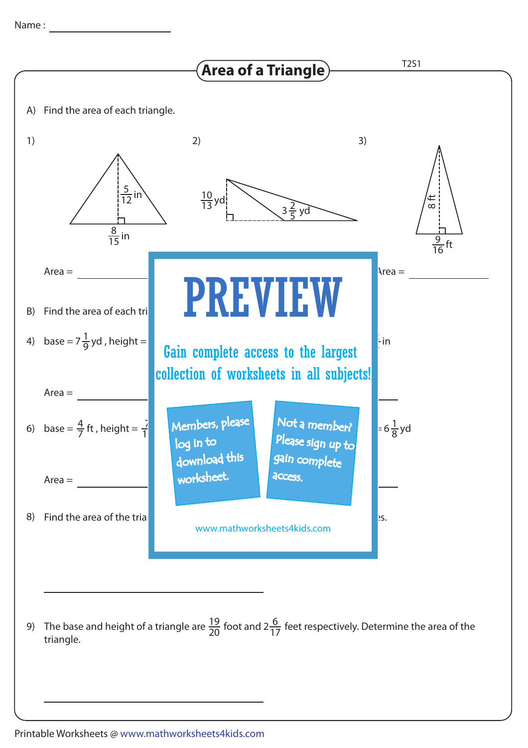